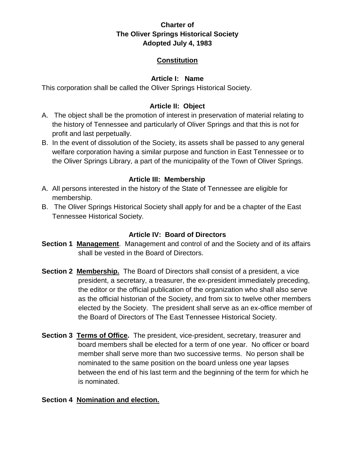# **Constitution**

## **Article I: Name**

This corporation shall be called the Oliver Springs Historical Society.

## **Article II: Object**

- A. The object shall be the promotion of interest in preservation of material relating to the history of Tennessee and particularly of Oliver Springs and that this is not for profit and last perpetually.
- B. In the event of dissolution of the Society, its assets shall be passed to any general welfare corporation having a similar purpose and function in East Tennessee or to the Oliver Springs Library, a part of the municipality of the Town of Oliver Springs.

# **Article III: Membership**

- A. All persons interested in the history of the State of Tennessee are eligible for membership.
- B. The Oliver Springs Historical Society shall apply for and be a chapter of the East Tennessee Historical Society.

## **Article IV: Board of Directors**

- **Section 1 Management**. Management and control of and the Society and of its affairs shall be vested in the Board of Directors.
- **Section 2 Membership.** The Board of Directors shall consist of a president, a vice president, a secretary, a treasurer, the ex-president immediately preceding, the editor or the official publication of the organization who shall also serve as the official historian of the Society, and from six to twelve other members elected by the Society. The president shall serve as an ex-office member of the Board of Directors of The East Tennessee Historical Society.
- **Section 3 Terms of Office.** The president, vice-president, secretary, treasurer and board members shall be elected for a term of one year. No officer or board member shall serve more than two successive terms. No person shall be nominated to the same position on the board unless one year lapses between the end of his last term and the beginning of the term for which he is nominated.

## **Section 4 Nomination and election.**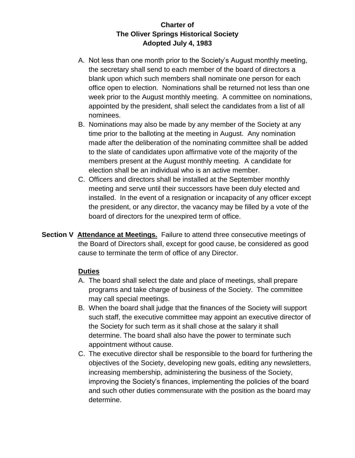- A. Not less than one month prior to the Society's August monthly meeting, the secretary shall send to each member of the board of directors a blank upon which such members shall nominate one person for each office open to election. Nominations shall be returned not less than one week prior to the August monthly meeting. A committee on nominations, appointed by the president, shall select the candidates from a list of all nominees.
- B. Nominations may also be made by any member of the Society at any time prior to the balloting at the meeting in August. Any nomination made after the deliberation of the nominating committee shall be added to the slate of candidates upon affirmative vote of the majority of the members present at the August monthly meeting. A candidate for election shall be an individual who is an active member.
- C. Officers and directors shall be installed at the September monthly meeting and serve until their successors have been duly elected and installed. In the event of a resignation or incapacity of any officer except the president, or any director, the vacancy may be filled by a vote of the board of directors for the unexpired term of office.
- **Section V Attendance at Meetings.** Failure to attend three consecutive meetings of the Board of Directors shall, except for good cause, be considered as good cause to terminate the term of office of any Director.

## **Duties**

- A. The board shall select the date and place of meetings, shall prepare programs and take charge of business of the Society. The committee may call special meetings.
- B. When the board shall judge that the finances of the Society will support such staff, the executive committee may appoint an executive director of the Society for such term as it shall chose at the salary it shall determine. The board shall also have the power to terminate such appointment without cause.
- C. The executive director shall be responsible to the board for furthering the objectives of the Society, developing new goals, editing any newsletters, increasing membership, administering the business of the Society, improving the Society's finances, implementing the policies of the board and such other duties commensurate with the position as the board may determine.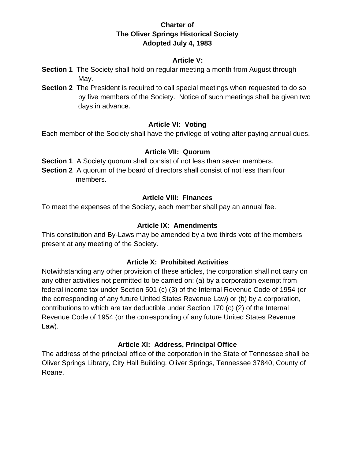#### **Article V:**

- **Section 1** The Society shall hold on regular meeting a month from August through May.
- **Section 2** The President is required to call special meetings when requested to do so by five members of the Society. Notice of such meetings shall be given two days in advance.

#### **Article VI: Voting**

Each member of the Society shall have the privilege of voting after paying annual dues.

#### **Article VII: Quorum**

**Section 1** A Society quorum shall consist of not less than seven members.

**Section 2** A quorum of the board of directors shall consist of not less than four members.

#### **Article VIII: Finances**

To meet the expenses of the Society, each member shall pay an annual fee.

#### **Article IX: Amendments**

This constitution and By-Laws may be amended by a two thirds vote of the members present at any meeting of the Society.

## **Article X: Prohibited Activities**

Notwithstanding any other provision of these articles, the corporation shall not carry on any other activities not permitted to be carried on: (a) by a corporation exempt from federal income tax under Section 501 (c) (3) of the Internal Revenue Code of 1954 (or the corresponding of any future United States Revenue Law) or (b) by a corporation, contributions to which are tax deductible under Section 170 (c) (2) of the Internal Revenue Code of 1954 (or the corresponding of any future United States Revenue Law).

## **Article XI: Address, Principal Office**

The address of the principal office of the corporation in the State of Tennessee shall be Oliver Springs Library, City Hall Building, Oliver Springs, Tennessee 37840, County of Roane.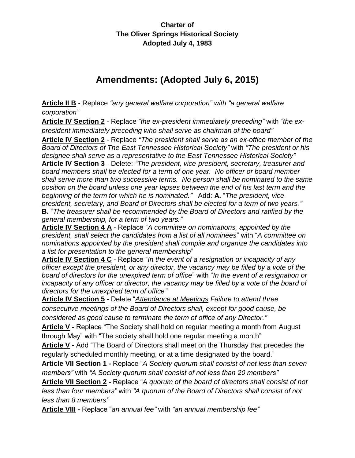# **Amendments: (Adopted July 6, 2015)**

**Article II B** - Replace *"any general welfare corporation" with "a general welfare corporation"*

**Article IV Section 2** - Replace *"the ex-president immediately preceding"* with *"the expresident immediately preceding who shall serve as chairman of the board"*

**Article IV Section 2** - Replace *"The president shall serve as an ex-office member of the Board of Directors of The East Tennessee Historical Society"* with *"The president or his designee shall serve as a representative to the East Tennessee Historical Society"* **Article IV Section 3** - Delete: *"The president, vice-president, secretary, treasurer and board members shall be elected for a term of one year. No officer or board member shall serve more than two successive terms. No person shall be nominated to the same position on the board unless one year lapses between the end of his last term and the beginning of the term for which he is nominated."* Add: **A.** "*The president, vicepresident, secretary, and Board of Directors shall be elected for a term of two years."* **B.** "*The treasurer shall be recommended by the Board of Directors and ratified by the general membership, for a term of two years."*

**Article IV Section 4 A** - Replace "*A committee on nominations, appointed by the president, shall select the candidates from a list of all nominees*" with "*A committee on nominations appointed by the president shall compile and organize the candidates into a list for presentation to the general membership*"

**Article IV Section 4 C** - Replace "*In the event of a resignation or incapacity of any officer except the president, or any director, the vacancy may be filled by a vote of the board of directors for the unexpired term of office*" with "*In the event of a resignation or incapacity of any officer or director, the vacancy may be filled by a vote of the board of directors for the unexpired term of office"*

**Article IV Section 5 -** Delete "*Attendance at Meetings Failure to attend three consecutive meetings of the Board of Directors shall, except for good cause, be considered as good cause to terminate the term of office of any Director."*

**Article V -** Replace "The Society shall hold on regular meeting a month from August through May" with "The society shall hold one regular meeting a month"

**Article V -** Add "The Board of Directors shall meet on the Thursday that precedes the regularly scheduled monthly meeting, or at a time designated by the board."

**Article VII Section 1 -** Replace "*A Society quorum shall consist of not less than seven members"* with *"A Society quorum shall consist of not less than 20 members"*

**Article VII Section 2 -** Replace "*A quorum of the board of directors shall consist of not less than four members"* with *"A quorum of the Board of Directors shall consist of not less than 8 members"*

**Article VIII -** Replace "*an annual fee"* with *"an annual membership fee"*